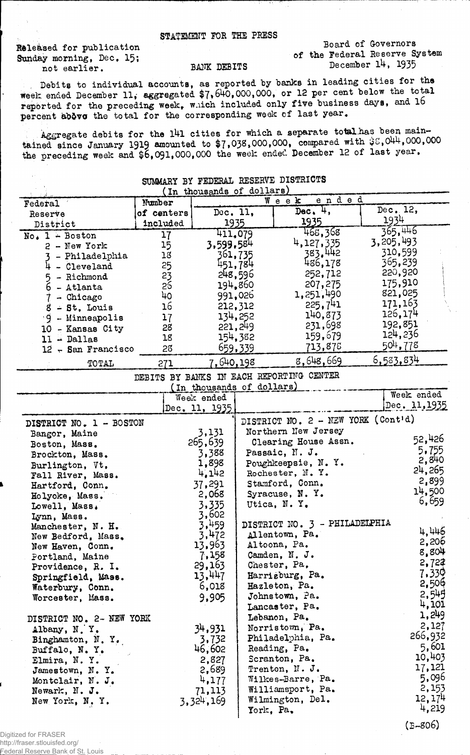## STATEMENT FOE THE PRESS

Released for publication Sunday morning, Dec, 15; not earlier.

Board of Governors of the Federal Reserve System December 14, 1935

## BANK DEBITS

Debits to individual accounts, as reported by banks in leading cities for the week ended December 11, aggregated \$7,640,000,000, or 12 per cent below the total reported for the preceding week, which included only five business days, and 16 percent above the total for the corresponding week of last year.

Aggregate debits for the 141 cities for which a separate total has been maintained since January 1919 amounted to  $$7,038,000,000$ , compared with  $$8,044,000,000$ the preceding week and \$6,091,000,000 the week ended December 12 of last year.

|                          |                 |                           |           | <b>SUMWARI BI FEDERAT KEPERAT DIPARTATO</b> |                    |
|--------------------------|-----------------|---------------------------|-----------|---------------------------------------------|--------------------|
|                          |                 | (In thousands of dollars) |           | ended                                       |                    |
| <b>Federal</b>           | Number          |                           |           | $W$ e e $K$                                 | Dec. 12,           |
| Reserve                  | of centers      | Dec. $11$ .               |           | $Dec.$ 4,                                   |                    |
| District                 | included        | 1935                      |           | 1935                                        | <u> 1934 </u>      |
| $No$ , $1 - Boston$      | 17              | 411,079                   |           | 468,368                                     | 365,446            |
| $2$ - New York           | 15              | 3,599,584                 |           | 4,127,335                                   | <b>3,</b> 205, 493 |
| - Philadelphia           | 18              |                           | 361,735   | 383.442                                     | 310,599            |
| - Cleveland<br>4         | 25              |                           | 451,784   | 486,178                                     | 365,239            |
| - Richmond<br>5          | $2\overline{3}$ |                           | 248,596   | 252,712                                     | 220,920            |
| $6 -$ Atlanta            | 25              |                           | 194,860   | 207,275                                     | 175,910            |
| - Chicago                | 40              |                           | 991,026   | 1,251,490                                   | 821,025            |
| $8 - St$ , Louis         | 16              |                           | 212,312   | 225,741                                     | 171,163            |
| 9 - Minneapolis          | 17              |                           | 134,252   | 140,873                                     | 126,174            |
|                          | 28              |                           | 221,249   | 231,698                                     | 192,851            |
| 10 - Kansas City         | 18              |                           | 154,382   | 159,679                                     | 124,236            |
| $11 - Dallas$            |                 |                           |           | 713,878                                     | 504,778            |
| $12 -$ San Francisco     | 28              |                           | 659,339   |                                             |                    |
| TOTAL                    | 271             | 7,640,198                 |           | 8,648,669                                   | <u>6,583,834</u>   |
|                          |                 |                           |           | DEBITS BY BANKS IN EACH REPORTING CENTER    |                    |
|                          |                 | (In thousands of dollars) |           |                                             |                    |
|                          |                 | Week ended                |           |                                             | Week ended         |
|                          |                 | Dec. 11, 1935             |           |                                             | Dec. 11, 1935      |
|                          |                 |                           |           | DISTRICT NO. 2 - NEW YORK (Cont'd)          |                    |
| DISTRICT NO. 1 - BOSTON  |                 | 3,131                     |           | Northern New Jersey                         |                    |
| Bangor, Maine            |                 | 265,639                   |           | Clearing House Assn.                        | 52,426             |
| Boston, Mass.            |                 |                           |           | Passaic, N.J.                               | 5,755              |
| Brockton, Mass.          |                 | 3,388                     |           |                                             | 2,840              |
| Burlington, Vt.          |                 | 1,898                     |           | Poughkeepsie, N.Y.                          | 24,265             |
| Fall River, Mass.        |                 | 4,142                     |           | Rochester, N.Y.                             | 2,899              |
| Hartford, Conn.          |                 | 37,291                    |           | Stamford, Conn.                             | 14,500             |
| Holyoke, Mass.           |                 | 2,068                     |           | Syracuse, N.Y.                              | 6,659              |
| Lowell, Mass.            |                 | 3,335                     |           | Utica, N.Y.                                 |                    |
| Lynn, Mass.              |                 | 3,602                     |           |                                             |                    |
| Manchester, N. H.        |                 | 3,459                     |           | DISTRICT NO. 3 - PHILADELPHIA               | 4,446              |
| New Bedford, Mass.       |                 | 3,472                     |           | Allentown, Pa.                              |                    |
| New Haven, Conn.         |                 | 13,963                    |           | Altoona, Pa.                                | 2,206              |
| Portland, Maine          |                 | 7,158                     |           | Camden, N. J.                               | 8,804              |
| Providence, R. I.        |                 | 29,163                    |           | Chester, Pa.                                | 2,724              |
| Springfield, Mass.       |                 | 13,447                    |           | Harrisburg, Pa.                             | 7,330              |
| Waterbury, Conn.         |                 | 6,018                     |           | Hazleton, Pa.                               | 2,506              |
| Worcester, Mass.         |                 | 9,905                     |           | Johnstown, Pa.                              | 2,545              |
|                          |                 |                           |           | Lancaster, Pa.                              | 4,101              |
| DISTRICT NO. 2- NEW YORK |                 |                           |           | Lebanon, Pa.                                | 1,249              |
| Albany, N.Y.             |                 | 34,931                    |           | Norristown, Pa.                             | 2,127              |
| Binghamton, N.Y.         |                 | 3,732                     |           | Philadelphia, Pa.                           | 266,932            |
| Buffalo, N.Y.            |                 | 46,602                    |           | Reading, Pa.                                | 5,601              |
| Elmira, N.Y.             |                 | 2,827                     |           | Scranton, Pa.                               | 10,403             |
| Jamestown, N.Y.          |                 | 2,689                     |           | Trenton, N. J.                              | 17,121             |
| Montclair, N. J.         |                 | 4,177                     |           | Wilkes-Barre, Pa.                           | 5,096              |
| Newark, N. J.            |                 | 71,113                    |           | Williamsport, Pa.                           | 2,153              |
|                          |                 | 3,324,169                 |           | Wilmington, Del.                            | 12,174             |
| New York, N.Y.           |                 |                           | York, Pa. |                                             | 4,219              |
|                          |                 |                           |           |                                             |                    |

## SUMARIOS DE BROTOTO TACONOMICALES DE SERVICES

Digitized for FRASER http://fraser.stlouisfed.org/ Federal Reserve Bank of St. Louis (B-806)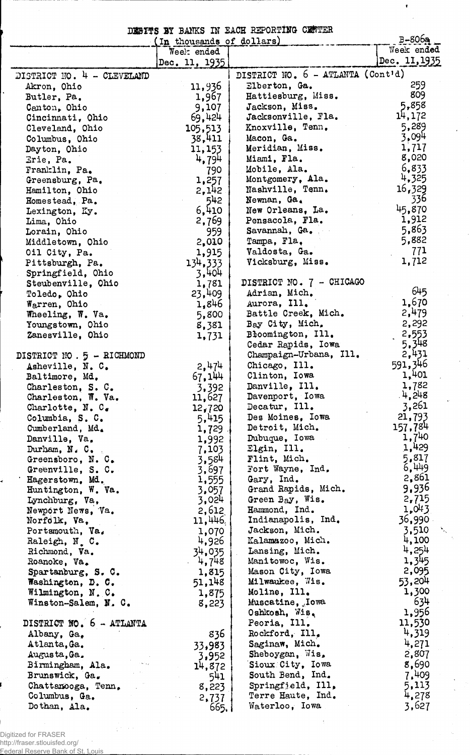|  |  |  |  | DESITS BY BANKS IN EACH REPORTING CENTER |  |
|--|--|--|--|------------------------------------------|--|
|--|--|--|--|------------------------------------------|--|

 $\bullet$ 

|                            | (In thousands of dollars) |                                   | $B-806a$      |
|----------------------------|---------------------------|-----------------------------------|---------------|
|                            | Week ended                |                                   | Week ended    |
|                            | Dec. 11, 1935             |                                   | Dec. 11, 1935 |
| DISTRICT NO. 4 - CLEVELAND |                           | DISTRICT NO. 6 - ATLANTA (Cont'd) |               |
| Akron, Ohio                | 11,936                    | Elberton, Ga.                     | 259           |
| Butler, Pa.                | 1,967                     | Hattiesburg, Miss.                | 809           |
| Canton, Ohio               | 9,107                     | Jackson, Miss.                    | 5,858         |
| Cincinnati, Ohio           | 69,424                    | Jacksonville, Fla.                | 14,172        |
| Cleveland, Ohio            | 105,513                   | Knoxville, Tenn.                  | 5,289         |
|                            | 38,411                    | Macon, Ga.                        | 3,094         |
| Columbus, Ohio             |                           | Meridian, Miss.                   | 1,717         |
| Dayton, Ohio               | 11,153                    |                                   | 8,020         |
| Erie, Pa.                  | 4,794                     | Miami, Fla.                       |               |
| Franklin, Pa.              | 790                       | Mobile, Ala.                      | 6.833         |
| Greensburg, Pa.            | 1,257                     | Montgomery, Ala.                  | 4,325         |
| Hamilton, Ohio             | 2,142                     | Nashville, Tenn.                  | 16,329        |
| Homestead, Pa.             | 542                       | Newnan, Ga.                       | 336           |
| Lexington, Ky.             | 6,410                     | New Orleans, La.                  | 45,870        |
| Lima, Ohio                 | 2,769                     | Pensacola, Fla.                   | 1,912         |
| Lorain, Ohio               | 959                       | Savannah, Ga.                     | 5,863         |
| Middletown, Ohio           | 2,010                     | Tampa, Fla.                       | 5,882         |
| Oil City, Pa.              | 1,915                     | Valdosta, Ga.                     | 771           |
| Pittsburgh, Pa.            | 134,333                   | Vicksburg, Miss.                  | 1,712         |
| Springfield, Ohio          | 3,404                     |                                   |               |
| Steubenville, Ohio         | 1,781                     | DISTRICT NO. 7 - CHICAGO          |               |
| Toledo, Ohio               | 23,409                    | Adrian, Mich.                     | 645           |
| Warren, Ohio               | 1,846                     | Aurora, Ill.                      | 1,670         |
| Wheeling, W. Va.           | 5,800                     | Battle Creek, Mich.               | 2,479         |
|                            |                           | Bay City, Mich.                   | 2,292         |
| Youngstown, Ohio           | 8,381                     | Bloomington, Ill.                 | 2,553         |
| Zanesville, Ohio           | 1,731                     |                                   | 5,348         |
|                            |                           | Cedar Rapids, Iowa                | 2,431         |
| DISTRICT NO. 5 - RICHMOND  |                           | Champaign-Urbana, Ill.            |               |
| Asheville, N. C.           | 2,474                     | Chicago, Ill.                     | 591,346       |
| Baltimore, Md.             | 67,144                    | Clinton, Iowa                     | 1,401         |
| Charleston, S. C.          | 3,392                     | Danville, Ill.                    | 1,782         |
| Charleston, W. Va.         | 11,627                    | Davenport, Iowa                   | 4,248         |
| Charlotte, $N. Ce$         | 12,720                    | Decatur, Ill.                     | 3,261         |
| Columbia, S. C.            | 5,415                     | Des Moines, Iowa                  | 21,793        |
| Cumberland, Md.            | 1,729                     | Detroit, Mich.                    | 157,784       |
| Danville, Va,              | 1,992                     | Dubuque, Iowa                     | $1,7^{40}$    |
| Durham, $N \cdot C$ .      | 7,103                     | Elgin, Ill.                       | 1,429         |
| Greensboro, N. C.          | 3,584                     | Flint, Mich.                      | 5,817         |
| Greenville, S. C.          | 3,697                     | Fort Wayne, Ind.                  | 6,449         |
| Hagerstown, Md.            | 1,555                     | Gary, Ind.                        | 2,861         |
| Huntington, W. Va.         | 3,057                     | Grand Rapids, Mich.               | 9,936         |
| Lynchburg, Va,             | 3,024                     | Green Bay, Wis.                   | 2,715         |
| Newport News, Va.          | 2,612                     | Hammond, Ind.                     | 1,043         |
|                            |                           | Indianapolis, Ind.                | 36,990        |
| Norfolk, Va,               | 11,446                    |                                   |               |
| Portsmouth, Va.            | 1,070                     | Jackson, Mich.                    | 3,510         |
| Raleigh, N.C.              | 4,926                     | Kalamazoo, Mich.                  | 4,100         |
| Richmond, Va.              | 34,035                    | Lansing, Mich.                    | 4,254         |
| Roanoke, Va.               | 4,748                     | Manitowoc, Wis.                   | 1,345         |
| Spartanburg, S. C.         | 1,815                     | Mason City, Iowa                  | 2,095         |
| Washington, D. C.          | 51,148                    | Milwaukee, Wis.                   | 53,204        |
| Wilmington, N.C.           | 1,875                     | Moline, Ill.                      | 1,300         |
| Winston-Salem, N. C.       | 8,223                     | Muscatine, Jowa                   | 634           |
|                            |                           | Oshkosh, Wis,                     | 1,956         |
| DISTRICT NO. 6 - ATLANTA   |                           | Peoria, Ill.                      | 11,530        |
| Albany, Ga,                | 836                       | Rockford, Ill.                    | 4,319         |
| Atlanta, Ga.               | 33,983                    | Saginaw, Mich.                    | 4,271         |
| Augusta, Ga.               | 3,952                     | Sheboygan, Wis,                   | 2,807         |
| Birmingham, Ala.           | 14,872                    | Sioux City, Iowa                  | 8,690         |
| Brunswick, Ga.             | 541                       | South Bend, Ind.                  | 7.409         |
| Chattanooga, Tenn,         |                           | Springfield, Ill,                 | 5,113         |
| Columbus, Ga.              | 8,223                     | Terre Haute, Ind.                 | 4,278         |
|                            | 2,737                     | Waterloo, Iowa                    | 3,627         |
| Dothan, Ala.               | 665.1                     |                                   |               |

Digitized for FRASER

http://fraser.stlouisfed.org/ Federal Reserve Bank of St. Louis  $\mathcal{O}(\mathbb{R}^d)$